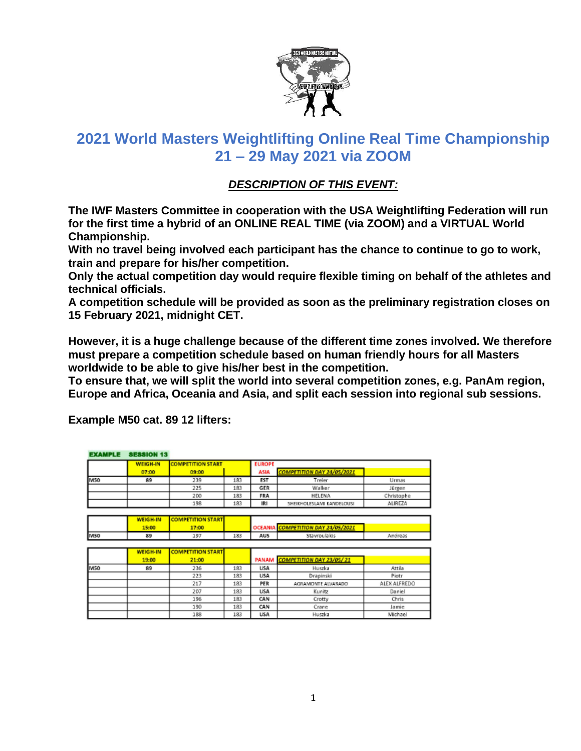

# **2021 World Masters Weightlifting Online Real Time Championship 21 – 29 May 2021 via ZOOM**

#### *DESCRIPTION OF THIS EVENT:*

**The IWF Masters Committee in cooperation with the USA Weightlifting Federation will run for the first time a hybrid of an ONLINE REAL TIME (via ZOOM) and a VIRTUAL World Championship.**

**With no travel being involved each participant has the chance to continue to go to work, train and prepare for his/her competition.** 

**Only the actual competition day would require flexible timing on behalf of the athletes and technical officials.** 

**A competition schedule will be provided as soon as the preliminary registration closes on 15 February 2021, midnight CET.**

**However, it is a huge challenge because of the different time zones involved. We therefore must prepare a competition schedule based on human friendly hours for all Masters worldwide to be able to give his/her best in the competition.** 

**To ensure that, we will split the world into several competition zones, e.g. PanAm region, Europe and Africa, Oceania and Asia, and split each session into regional sub sessions.**

|            | <b>WEIGH-IN</b> | <b>COMPETITION START</b> |     | <b>EUROPE</b> |                                    |                |
|------------|-----------------|--------------------------|-----|---------------|------------------------------------|----------------|
|            | 07:00           | 09:00                    |     | <b>ASIA</b>   | <b>COMPETITION DAY 24/05/2021</b>  |                |
| <b>M50</b> | 89              | 239                      | 183 | <b>EST</b>    | Treier                             | Urmas          |
|            |                 | 225                      | 183 | GER           | Walker                             | Jürgen         |
|            |                 | 200                      | 183 | <b>FRA</b>    | HELENA                             | Christophe     |
|            |                 | 198                      | 183 | IRI           | SHEIKHOLESLAMI KANDELOUSI          | <b>ALIREZA</b> |
|            |                 |                          |     |               |                                    |                |
|            | <b>WEIGH-IN</b> | <b>COMPETITION START</b> |     |               |                                    |                |
|            | 15:00           | 17:00                    |     |               | OCEANIA COMPETITION DAY 24/05/2021 |                |
| M50        | 89              | 197                      | 183 | AUS           | <b>Stavroulakis</b>                | Andreas        |
|            |                 |                          |     |               |                                    |                |
|            | <b>WEIGH-IN</b> | <b>COMPETITION START</b> |     |               |                                    |                |
|            | 19:00           | 21:00                    |     | PANAM         | COMPETITION DAY 23/05/21           |                |
| M50        | 89              | 236                      | 183 | <b>USA</b>    | Huszka                             | Attila         |
|            |                 | $ -$                     | $-$ | $ -$          |                                    |                |

**Example M50 cat. 89 12 lifters:** 

**EXAMPLE SESSION 13** 

|     | <b>WEIGH-IN</b> | <b>COMPETITION START</b> |     |            |                                |              |
|-----|-----------------|--------------------------|-----|------------|--------------------------------|--------------|
|     | 19:00           | 21:00                    |     |            | PANAM COMPETITION DAY 23/05/21 |              |
| M50 | 89              | 236                      | 183 | <b>USA</b> | Huszka                         | Attila       |
|     |                 | 223                      | 183 | <b>USA</b> | Drapinski                      | Piotr        |
|     |                 | 217                      | 183 | PER        | AGRAMONTE ALVARADO             | ALEX ALFREDO |
|     |                 | 207                      | 183 | <b>USA</b> | Kunitz                         | Daniel       |
|     |                 | 196                      | 183 | CAN        | Crotty                         | Chris        |
|     |                 | 190                      | 183 | CAN        | Crane                          | Jamie        |
|     |                 | 188                      | 183 | <b>USA</b> | Huszka                         | Michael      |
|     |                 |                          |     |            |                                |              |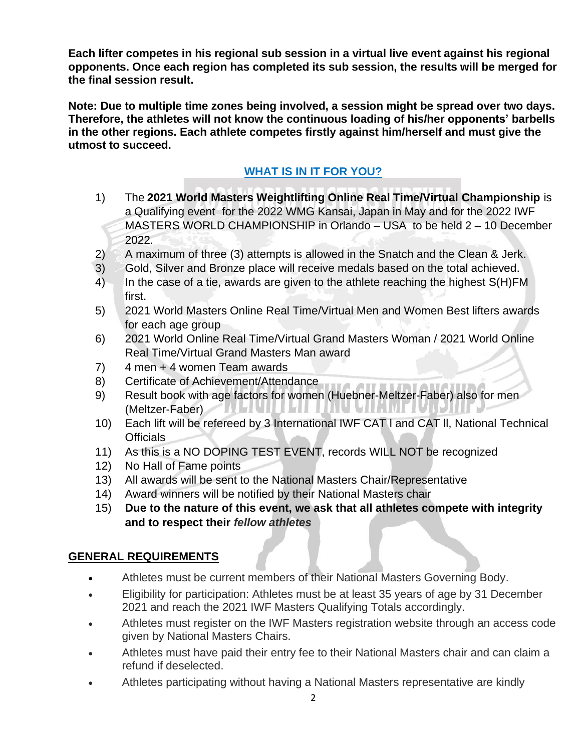**Each lifter competes in his regional sub session in a virtual live event against his regional opponents. Once each region has completed its sub session, the results will be merged for the final session result.** 

**Note: Due to multiple time zones being involved, a session might be spread over two days. Therefore, the athletes will not know the continuous loading of his/her opponents' barbells in the other regions. Each athlete competes firstly against him/herself and must give the utmost to succeed.** 

## **WHAT IS IN IT FOR YOU?**

- 1) The **2021 World Masters Weightlifting Online Real Time/Virtual Championship** is a Qualifying event for the 2022 WMG Kansai, Japan in May and for the 2022 IWF MASTERS WORLD CHAMPIONSHIP in Orlando – USA to be held 2 – 10 December 2022.
- 2) A maximum of three (3) attempts is allowed in the Snatch and the Clean & Jerk.
- 3) Gold, Silver and Bronze place will receive medals based on the total achieved.
- 4) In the case of a tie, awards are given to the athlete reaching the highest S(H)FM first.
- 5) 2021 World Masters Online Real Time/Virtual Men and Women Best lifters awards for each age group
- 6) 2021 World Online Real Time/Virtual Grand Masters Woman / 2021 World Online Real Time/Virtual Grand Masters Man award
- 7) 4 men + 4 women Team awards
- 8) Certificate of Achievement/Attendance
- 9) Result book with age factors for women (Huebner-Meltzer-Faber) also for men TATERVILLE ET EL INV VIIMME I VNJHIL (Meltzer-Faber)
- 10) Each lift will be refereed by 3 International IWF CAT l and CAT ll, National Technical Officials
- 11) As this is a NO DOPING TEST EVENT, records WILL NOT be recognized
- 12) No Hall of Fame points
- 13) All awards will be sent to the National Masters Chair/Representative
- 14) Award winners will be notified by their National Masters chair
- 15) **Due to the nature of this event, we ask that all athletes compete with integrity and to respect their** *fellow athletes*

#### **GENERAL REQUIREMENTS**

- Athletes must be current members of their National Masters Governing Body.
- Eligibility for participation: Athletes must be at least 35 years of age by 31 December 2021 and reach the 2021 IWF Masters Qualifying Totals accordingly.
- Athletes must register on the IWF Masters registration website through an access code given by National Masters Chairs.
- Athletes must have paid their entry fee to their National Masters chair and can claim a refund if deselected.
- Athletes participating without having a National Masters representative are kindly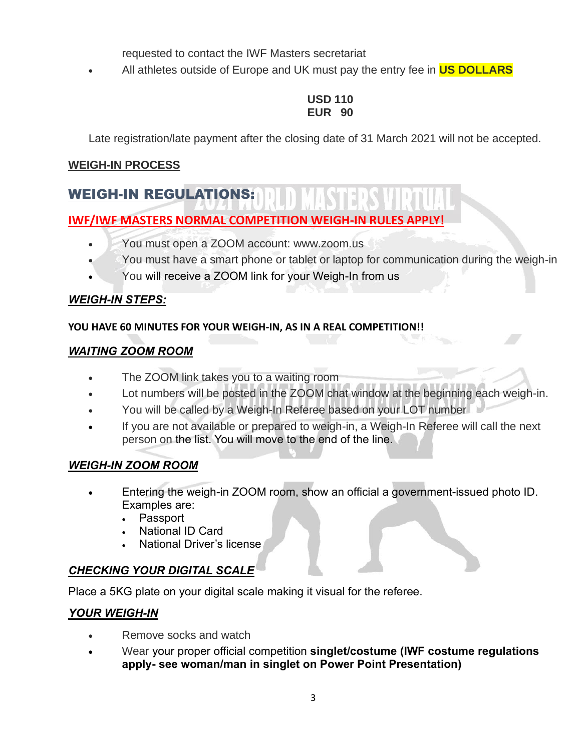requested to contact the IWF Masters secretariat

• All athletes outside of Europe and UK must pay the entry fee in **US DOLLARS**

#### **USD 110 EUR 90**

Late registration/late payment after the closing date of 31 March 2021 will not be accepted.

## **WEIGH-IN PROCESS**

## WEIGH-IN REGULATIONS:

## **IWF/IWF MASTERS NORMAL COMPETITION WEIGH-IN RULES APPLY!**

- You must open a ZOOM account: [www.zoom.us](http://www.zoom.us/)
- You must have a smart phone or tablet or laptop for communication during the weigh-in
- You will receive a ZOOM link for your Weigh-In from us

## *WEIGH-IN STEPS:*

#### **YOU HAVE 60 MINUTES FOR YOUR WEIGH-IN, AS IN A REAL COMPETITION!!**

## *WAITING ZOOM ROOM*

- The ZOOM link takes you to a waiting room
- Lot numbers will be posted in the ZOOM chat window at the beginning each weigh-in.
- You will be called by a Weigh-In Referee based on your LOT number
- If you are not available or prepared to weigh-in, a Weigh-In Referee will call the next person on the list. You will move to the end of the line.

## *WEIGH-IN ZOOM ROOM*

- Entering the weigh-in ZOOM room, show an official a government-issued photo ID. Examples are:
	- Passport
	- National ID Card
	- National Driver's license

## *CHECKING YOUR DIGITAL SCALE*

Place a 5KG plate on your digital scale making it visual for the referee.

## *YOUR WEIGH-IN*

- Remove socks and watch
- Wear your proper official competition **singlet/costume (IWF costume regulations apply- see woman/man in singlet on Power Point Presentation)**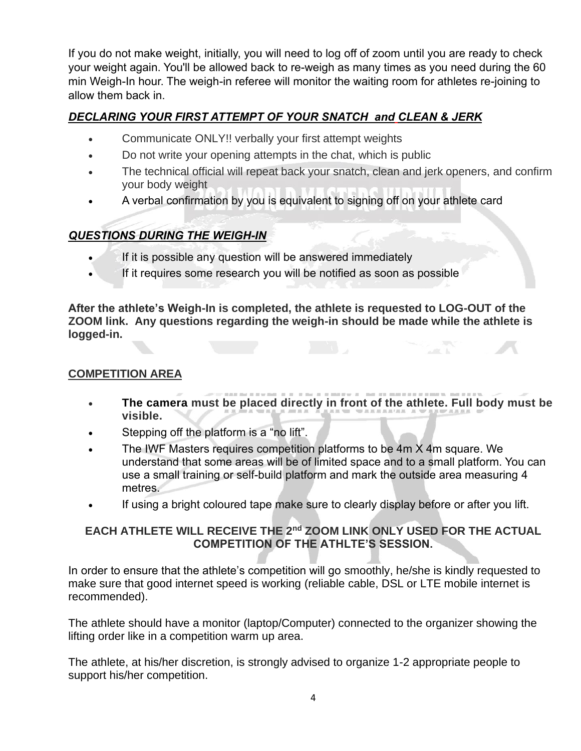If you do not make weight, initially, you will need to log off of zoom until you are ready to check your weight again. You'll be allowed back to re-weigh as many times as you need during the 60 min Weigh-In hour. The weigh-in referee will monitor the waiting room for athletes re-joining to allow them back in.

## *DECLARING YOUR FIRST ATTEMPT OF YOUR SNATCH and CLEAN & JERK*

- Communicate ONLY!! verbally your first attempt weights
- Do not write your opening attempts in the chat, which is public
- The technical official will repeat back your snatch, clean and jerk openers, and confirm your body weight
- A verbal confirmation by you is equivalent to signing off on your athlete card

## *QUESTIONS DURING THE WEIGH-IN*

- If it is possible any question will be answered immediately
- If it requires some research you will be notified as soon as possible

**After the athlete's Weigh-In is completed, the athlete is requested to LOG-OUT of the ZOOM link. Any questions regarding the weigh-in should be made while the athlete is logged-in.** 

#### **COMPETITION AREA**

- **The camera must be placed directly in front of the athlete. Full body must be visible.**
- Stepping off the platform is a "no lift".
- The IWF Masters requires competition platforms to be 4m X 4m square. We understand that some areas will be of limited space and to a small platform. You can use a small training or self-build platform and mark the outside area measuring 4 metres.
- If using a bright coloured tape make sure to clearly display before or after you lift.

#### **EACH ATHLETE WILL RECEIVE THE 2nd ZOOM LINK ONLY USED FOR THE ACTUAL COMPETITION OF THE ATHLTE'S SESSION.**

In order to ensure that the athlete's competition will go smoothly, he/she is kindly requested to make sure that good internet speed is working (reliable cable, DSL or LTE mobile internet is recommended).

The athlete should have a monitor (laptop/Computer) connected to the organizer showing the lifting order like in a competition warm up area.

The athlete, at his/her discretion, is strongly advised to organize 1-2 appropriate people to support his/her competition.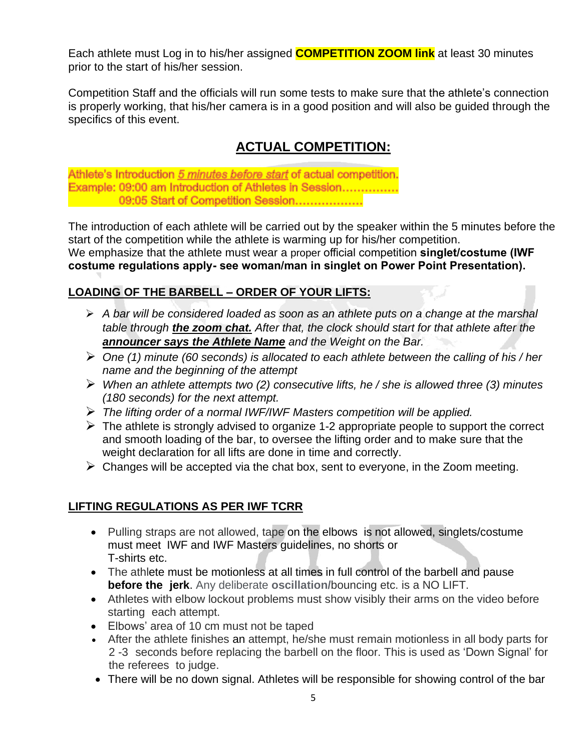Each athlete must Log in to his/her assigned **COMPETITION ZOOM link** at least 30 minutes prior to the start of his/her session.

Competition Staff and the officials will run some tests to make sure that the athlete's connection is properly working, that his/her camera is in a good position and will also be guided through the specifics of this event.

# **ACTUAL COMPETITION:**

Athlete's Introduction 5 minutes before start of actual competition. Example: 09:00 am Introduction of Athletes in Session............... 09:05 Start of Competition Session.................

The introduction of each athlete will be carried out by the speaker within the 5 minutes before the start of the competition while the athlete is warming up for his/her competition. We emphasize that the athlete must wear a proper official competition **singlet/costume (IWF costume regulations apply- see woman/man in singlet on Power Point Presentation).**

## **LOADING OF THE BARBELL – ORDER OF YOUR LIFTS:**

- ➢ *A bar will be considered loaded as soon as an athlete puts on a change at the marshal table through the zoom chat. After that, the clock should start for that athlete after the announcer says the Athlete Name and the Weight on the Bar.*
- ➢ *One (1) minute (60 seconds) is allocated to each athlete between the calling of his / her name and the beginning of the attempt*
- ➢ *When an athlete attempts two (2) consecutive lifts, he / she is allowed three (3) minutes (180 seconds) for the next attempt.*
- ➢ *The lifting order of a normal IWF/IWF Masters competition will be applied.*
- $\triangleright$  The athlete is strongly advised to organize 1-2 appropriate people to support the correct and smooth loading of the bar, to oversee the lifting order and to make sure that the weight declaration for all lifts are done in time and correctly.
- $\triangleright$  Changes will be accepted via the chat box, sent to everyone, in the Zoom meeting.

## **LIFTING REGULATIONS AS PER IWF TCRR**

- Pulling straps are not allowed, tape on the elbows is not allowed, singlets/costume must meet IWF and IWF Masters guidelines, no shorts or T-shirts etc.
- The athlete must be motionless at all times in full control of the barbell and pause **before the jerk**. Any deliberate **oscillation/**bouncing etc. is a NO LIFT.
- Athletes with elbow lockout problems must show visibly their arms on the video before starting each attempt.
- Elbows' area of 10 cm must not be taped
- After the athlete finishes an attempt, he/she must remain motionless in all body parts for 2 -3 seconds before replacing the barbell on the floor. This is used as 'Down Signal' for the referees to judge.
- There will be no down signal. Athletes will be responsible for showing control of the bar